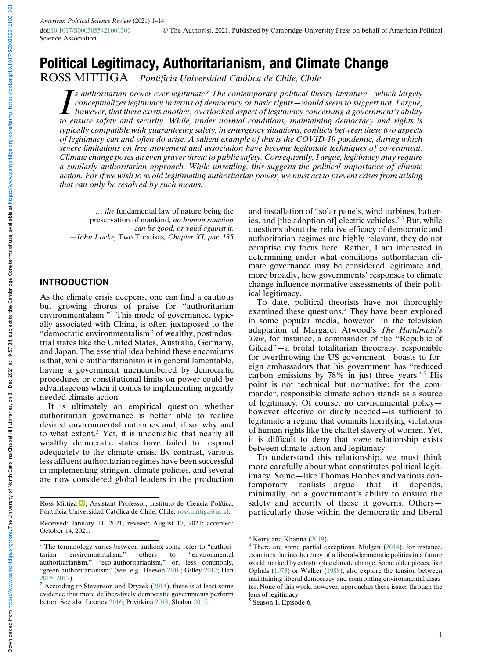Science Association.

# Political Legitimacy, Authoritarianism, and Climate Change

ROSS MITTIGA Pontificia Universidad Católica de Chile, Chile

Is authoritarian power ever legitimate? The contemporary political theory literature—which largely<br>conceptualizes legitimacy in terms of democracy or basic rights—would seem to suggest not. I argue,<br>however, that there exi  $\mathbb{Z}$ s authoritarian power ever legitimate? The contemporary political theory literature—which largely conceptualizes legitimacy in terms of democracy or basic rights—would seem to suggest not. I argue, to ensure safety and security. While, under normal conditions, maintaining democracy and rights is typically compatible with guaranteeing safety, in emergency situations, conflicts between these two aspects of legitimacy can and often do arise. A salient example of this is the COVID-19 pandemic, during which severe limitations on free movement and association have become legitimate techniques of government. Climate change poses an even graver threat to public safety. Consequently, I argue, legitimacy may require a similarly authoritarian approach. While unsettling, this suggests the political importance of climate action. For if we wish to avoid legitimating authoritarian power, we must act to prevent crises from arising that can only be resolved by such means.

… the fundamental law of nature being the preservation of mankind, no human sanction can be good, or valid against it. —John Locke, Two Treatises, Chapter XI, par. 135

#### INTRODUCTION

As the climate crisis deepens, one can find a cautious but growing chorus of praise for "authoritarian environmentalism."[1](#page-0-0) This mode of governance, typically associated with China, is often juxtaposed to the "democratic environmentalism" of wealthy, postindustrial states like the United States, Australia, Germany, and Japan. The essential idea behind these encomiums is that, while authoritarianism is in general lamentable, having a government unencumbered by democratic procedures or constitutional limits on power could be advantageous when it comes to implementing urgently needed climate action.

It is ultimately an empirical question whether authoritarian governance is better able to realize desired environmental outcomes and, if so, why and to what extent.[2](#page-0-1) Yet, it is undeniable that nearly all wealthy democratic states have failed to respond adequately to the climate crisis. By contrast, various less affluent authoritarian regimes have been successful in implementing stringent climate policies, and several are now considered global leaders in the production and installation of "solar panels, wind turbines, batteries, and [the adoption of] electric vehicles."[3](#page-0-2) But, while questions about the relative efficacy of democratic and authoritarian regimes are highly relevant, they do not comprise my focus here. Rather, I am interested in determining under what conditions authoritarian climate governance may be considered legitimate and, more broadly, how governments' responses to climate change influence normative assessments of their political legitimacy.

To date, political theorists have not thoroughly examined these questions.<sup>[4](#page-0-3)</sup> They have been explored in some popular media, however. In the television adaptation of Margaret Atwood's The Handmaid's Tale, for instance, a commander of the "Republic of Gilead"—a brutal totalitarian theocracy, responsible for overthrowing the US government—boasts to foreign ambassadors that his government has "reduced carbon emissions by 78% in just three years."[5](#page-0-4) His point is not technical but normative: for the commander, responsible climate action stands as a source of legitimacy. Of course, no environmental policy however effective or direly needed—is sufficient to legitimate a regime that commits horrifying violations of human rights like the chattel slavery of women. Yet, it is difficult to deny that some relationship exists between climate action and legitimacy.

To understand this relationship, we must think more carefully about what constitutes political legitimacy. Some—like Thomas Hobbes and various con $temporary$  realists—argue minimally, on a government's ability to ensure the safety and security of those it governs. Others particularly those within the democratic and liberal

Ross Mittiga <sup>D</sup>[,](https://orcid.org/0000-0003-3174-008X) Assistant Professor, Instituto de Ciencia Política, Pontificia Universidad Católica de Chile, Chile, [ross.mittiga@uc.cl.](mailto:ross.mittiga@uc.cl)

Received: January 11, 2021; revised: August 17, 2021; accepted: October 14, 2021.

<span id="page-0-3"></span><span id="page-0-2"></span><span id="page-0-0"></span><sup>&</sup>lt;sup>1</sup> The terminology varies between authors; some refer to "authoritarian environmentalism," others to "environmental authoritarianism," "eco-authoritarianism," or, less commonly, "green authoritarianism" (see, e.g., Beeson [2010](#page-12-0); Gilley [2012](#page-12-1); Han

<span id="page-0-4"></span><span id="page-0-1"></span> $2$  According to Stevenson and Dryzek [\(2014](#page-13-0)), there is at least some evidence that more deliberatively democratic governments perform better. See also Looney [2016](#page-12-4); Povitkina [2018;](#page-13-1) Shahar [2015.](#page-13-2)

 $3$  Kerry and Khanna [\(2019\)](#page-12-5).<br><sup>4</sup> There are some partial exceptions. Mulgan [\(2014](#page-13-3)), for instance, examines the incoherency of a liberal-democratic politics in a future world marked by catastrophic climate change. Some older pieces, like Ophuls ([1973\)](#page-13-4) or Walker ([1988\)](#page-13-1), also explore the tension between maintaining liberal democracy and confronting environmental disaster. None of this work, however, approaches these issues through the lens of legitimacy.

<sup>&</sup>lt;sup>5</sup> Season 1, Episode 6.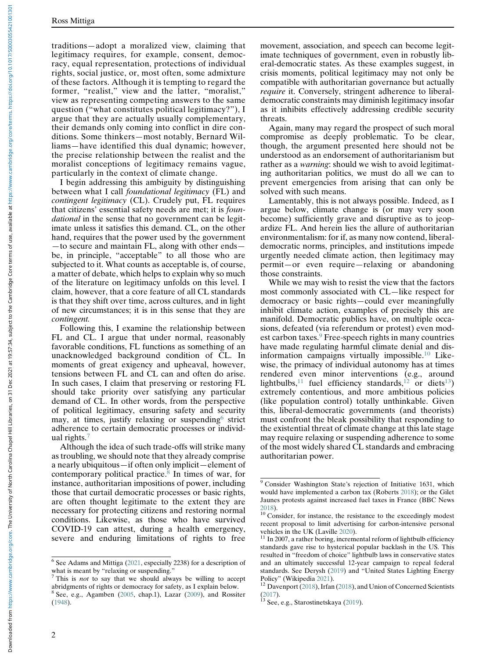traditions—adopt a moralized view, claiming that legitimacy requires, for example, consent, democracy, equal representation, protections of individual rights, social justice, or, most often, some admixture of these factors. Although it is tempting to regard the former, "realist," view and the latter, "moralist," view as representing competing answers to the same question ("what constitutes political legitimacy?"), I argue that they are actually usually complementary, their demands only coming into conflict in dire conditions. Some thinkers—most notably, Bernard Williams—have identified this dual dynamic; however, the precise relationship between the realist and the moralist conceptions of legitimacy remains vague, particularly in the context of climate change.

I begin addressing this ambiguity by distinguishing between what I call foundational legitimacy (FL) and contingent legitimacy (CL). Crudely put, FL requires that citizens' essential safety needs are met; it is foundational in the sense that no government can be legitimate unless it satisfies this demand. CL, on the other hand, requires that the power used by the government —to secure and maintain FL, along with other ends be, in principle, "acceptable" to all those who are subjected to it. What counts as acceptable is, of course, a matter of debate, which helps to explain why so much of the literature on legitimacy unfolds on this level. I claim, however, that a core feature of all CL standards is that they shift over time, across cultures, and in light of new circumstances; it is in this sense that they are contingent.

Following this, I examine the relationship between FL and CL. I argue that under normal, reasonably favorable conditions, FL functions as something of an unacknowledged background condition of CL. In moments of great exigency and upheaval, however, tensions between FL and CL can and often do arise. In such cases, I claim that preserving or restoring FL should take priority over satisfying any particular demand of CL. In other words, from the perspective of political legitimacy, ensuring safety and security may, at times, justify relaxing or suspending  $6$  strict adherence to certain democratic processes or individual rights.[7](#page-1-1)

<span id="page-1-3"></span>Although the idea of such trade-offs will strike many as troubling, we should note that they already comprise a nearly ubiquitous—if often only implicit—element of contemporary political practice. $8$  In times of war, for instance, authoritarian impositions of power, including those that curtail democratic processes or basic rights, are often thought legitimate to the extent they are necessary for protecting citizens and restoring normal conditions. Likewise, as those who have survived COVID-19 can attest, during a health emergency, severe and enduring limitations of rights to free

movement, association, and speech can become legitimate techniques of government, even in robustly liberal-democratic states. As these examples suggest, in crisis moments, political legitimacy may not only be compatible with authoritarian governance but actually require it. Conversely, stringent adherence to liberaldemocratic constraints may diminish legitimacy insofar as it inhibits effectively addressing credible security threats.

Again, many may regard the prospect of such moral compromise as deeply problematic. To be clear, though, the argument presented here should not be understood as an endorsement of authoritarianism but rather as a *warning*: should we wish to avoid legitimating authoritarian politics, we must do all we can to prevent emergencies from arising that can only be solved with such means.

Lamentably, this is not always possible. Indeed, as I argue below, climate change is (or may very soon become) sufficiently grave and disruptive as to jeopardize FL. And herein lies the allure of authoritarian environmentalism: for if, as many now contend, liberaldemocratic norms, principles, and institutions impede urgently needed climate action, then legitimacy may permit—or even require—relaxing or abandoning those constraints.

While we may wish to resist the view that the factors most commonly associated with CL—like respect for democracy or basic rights—could ever meaningfully inhibit climate action, examples of precisely this are manifold. Democratic publics have, on multiple occasions, defeated (via referendum or protest) even mod-est carbon taxes.<sup>[9](#page-1-3)</sup> Free-speech rights in many countries have made regulating harmful climate denial and disinformation campaigns virtually impossible.[10](#page-1-4) Likewise, the primacy of individual autonomy has at times rendered even minor interventions (e.g., around lightbulbs,<sup>[11](#page-1-5)</sup> fuel efficiency standards,<sup>[12](#page-1-6)</sup> or diets<sup>[13](#page-1-7)</sup>) extremely contentious, and more ambitious policies (like population control) totally unthinkable. Given this, liberal-democratic governments (and theorists) must confront the bleak possibility that responding to the existential threat of climate change at this late stage may require relaxing or suspending adherence to some of the most widely shared CL standards and embracing authoritarian power.

<span id="page-1-5"></span><span id="page-1-4"></span><span id="page-1-0"></span> $6$  See Adams and Mittiga [\(2021](#page-11-0), especially 2238) for a description of what is meant by "relaxing or suspending."

<span id="page-1-6"></span><span id="page-1-1"></span> $\frac{7}{1}$  This is not to say that we should always be willing to accept abridgments of rights or democracy for safety, as I explain below.  $8$  See, e.g., Agamben ([2005,](#page-11-1) chap.1), Lazar ([2009\)](#page-12-6), and Rossiter

<span id="page-1-7"></span><span id="page-1-2"></span>[<sup>\(1948</sup>](#page-13-5)).

<sup>9</sup> Consider Washington State's rejection of Initiative 1631, which would have implemented a carbon tax (Roberts [2018\)](#page-13-6); or the Gilet Jaunes protests against increased fuel taxes in France (BBC News

 $^{2018}$ ). <sup>10</sup> Consider, for instance, the resistance to the exceedingly modest recent proposal to limit advertising for carbon-intensive personal

vehicles in the UK (Laville [2020](#page-12-8)).  $11$  In 2007, a rather boring, incremental reform of lightbulb efficiency standards gave rise to hysterical popular backlash in the US. This resulted in "freedom of choice" lightbulb laws in conservative states and an ultimately successful 12-year campaign to repeal federal standards. See Derysh [\(2019](#page-12-9)) and "United States Lighting Energy

 $12$  Davenport [\(2018\)](#page-12-10), Irfan ([2018\)](#page-12-11), and Union of Concerned Scientists [\(2017](#page-13-8)).<br> $13$  See, e.g., Starostinetskaya ([2019\)](#page-13-9).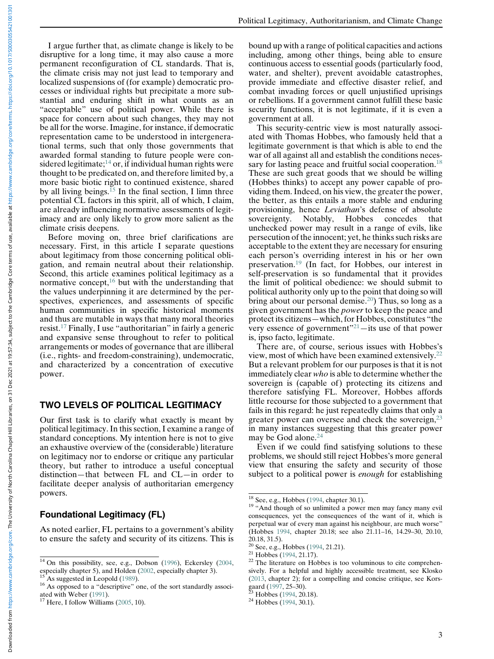I argue further that, as climate change is likely to be disruptive for a long time, it may also cause a more permanent reconfiguration of CL standards. That is, the climate crisis may not just lead to temporary and localized suspensions of (for example) democratic processes or individual rights but precipitate a more substantial and enduring shift in what counts as an "acceptable" use of political power. While there is space for concern about such changes, they may not be all for the worse. Imagine, for instance, if democratic representation came to be understood in intergenerational terms, such that only those governments that awarded formal standing to future people were considered legitimate; $^{14}$  $^{14}$  $^{14}$  or, if individual human rights were thought to be predicated on, and therefore limited by, a more basic biotic right to continued existence, shared by all living beings.<sup>[15](#page-2-1)</sup> In the final section, I limn three potential CL factors in this spirit, all of which, I claim, are already influencing normative assessments of legitimacy and are only likely to grow more salient as the climate crisis deepens.

Before moving on, three brief clarifications are necessary. First, in this article I separate questions about legitimacy from those concerning political obligation, and remain neutral about their relationship. Second, this article examines political legitimacy as a normative concept, $16$  but with the understanding that the values underpinning it are determined by the perspectives, experiences, and assessments of specific human communities in specific historical moments and thus are mutable in ways that many moral theories resist.[17](#page-2-3) Finally, I use "authoritarian" in fairly a generic and expansive sense throughout to refer to political arrangements or modes of governance that are illiberal (i.e., rights- and freedom-constraining), undemocratic, and characterized by a concentration of executive power.

#### TWO LEVELS OF POLITICAL LEGITIMACY

Our first task is to clarify what exactly is meant by political legitimacy. In this section, I examine a range of standard conceptions. My intention here is not to give an exhaustive overview of the (considerable) literature on legitimacy nor to endorse or critique any particular theory, but rather to introduce a useful conceptual distinction—that between FL and CL—in order to facilitate deeper analysis of authoritarian emergency powers.

#### <span id="page-2-5"></span><span id="page-2-4"></span>Foundational Legitimacy (FL)

As noted earlier, FL pertains to a government's ability to ensure the safety and security of its citizens. This is bound up with a range of political capacities and actions including, among other things, being able to ensure continuous access to essential goods (particularly food, water, and shelter), prevent avoidable catastrophes, provide immediate and effective disaster relief, and combat invading forces or quell unjustified uprisings or rebellions. If a government cannot fulfill these basic security functions, it is not legitimate, if it is even a government at all.

This security-centric view is most naturally associated with Thomas Hobbes, who famously held that a legitimate government is that which is able to end the war of all against all and establish the conditions neces-sary for lasting peace and fruitful social cooperation.<sup>[18](#page-2-4)</sup> These are such great goods that we should be willing (Hobbes thinks) to accept any power capable of providing them. Indeed, on his view, the greater the power, the better, as this entails a more stable and enduring provisioning, hence Leviathan's defense of absolute sovereignty. Notably, Hobbes concedes that unchecked power may result in a range of evils, like persecution of the innocent; yet, he thinks such risks are acceptable to the extent they are necessary for ensuring each person's overriding interest in his or her own preservation.[19](#page-2-5) (In fact, for Hobbes, our interest in self-preservation is so fundamental that it provides the limit of political obedience: we should submit to political authority only up to the point that doing so will bring about our personal demise.<sup>20</sup>) Thus, so long as a given government has the *power* to keep the peace and protect its citizens—which, for Hobbes, constitutes "the very essence of government"[21](#page-2-7)—its use of that power is, ipso facto, legitimate.

There are, of course, serious issues with Hobbes's view, most of which have been examined extensively.[22](#page-2-0) But a relevant problem for our purposes is that it is not immediately clear who is able to determine whether the sovereign is (capable of) protecting its citizens and therefore satisfying FL. Moreover, Hobbes affords little recourse for those subjected to a government that fails in this regard: he just repeatedly claims that only a greater power can oversee and check the sovereign,<sup>[23](#page-2-8)</sup> in many instances suggesting that this greater power may be God alone.<sup>[24](#page-2-3)</sup>

Even if we could find satisfying solutions to these problems, we should still reject Hobbes's more general view that ensuring the safety and security of those subject to a political power is *enough* for establishing

<span id="page-2-7"></span><span id="page-2-6"></span><span id="page-2-0"></span><sup>&</sup>lt;sup>14</sup> On this possibility, see, e.g., Dobson [\(1996\)](#page-12-4), Eckersley [\(2004,](#page-12-12) especially chapter 5), and Holden (2002, especially chapter 3).

<span id="page-2-2"></span><span id="page-2-1"></span><sup>&</sup>lt;sup>15</sup> As suggested in Leopold [\(1989](#page-12-9)). <sup>16</sup> As opposed to a "descriptive" one, of the sort standardly associated with Weber (1991).

<span id="page-2-8"></span><span id="page-2-3"></span> $17$  Here, I follow Williams [\(2005,](#page-13-10) 10).

<sup>&</sup>lt;sup>18</sup> See, e.g., Hobbes ([1994,](#page-12-14) chapter 30.1). <sup>19</sup> "And though of so unlimited a power men may fancy many evil consequences, yet the consequences of the want of it, which is perpetual war of every man against his neighbour, are much worse" (Hobbes [1994,](#page-12-14) chapter 20.18; see also 21.11–16, 14.29–30, 20.10, 20.18, 31.5).<br><sup>20</sup> See, e.g., Hobbes (1994, 21.21).

<sup>&</sup>lt;sup>21</sup> Hobbes ([1994,](#page-12-14) 21.17). <sup>22</sup> The literature on Hobbes is too voluminous to cite comprehensively. For a helpful and highly accessible treatment, see Klosko ([2013,](#page-12-15) chapter 2); for a compelling and concise critique, see Kors-gaard ([1997](#page-12-16), 25–30).<br><sup>23</sup> Hobbes [\(1994](#page-12-14), 20.18).<br><sup>24</sup> Hobbes (1994, 30.1).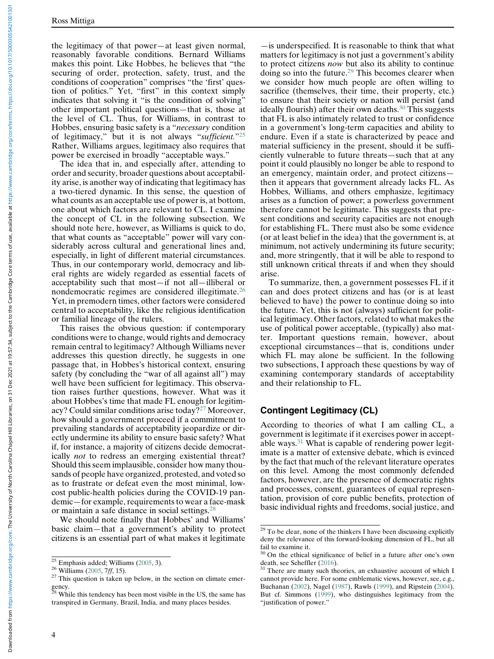the legitimacy of that power—at least given normal, reasonably favorable conditions. Bernard Williams makes this point. Like Hobbes, he believes that "the securing of order, protection, safety, trust, and the conditions of cooperation" comprises "the 'first' question of politics." Yet, "first" in this context simply indicates that solving it "is the condition of solving" other important political questions—that is, those at the level of CL. Thus, for Williams, in contrast to Hobbes, ensuring basic safety is a "necessary condition of legitimacy," but it is not always "sufficient."[25](#page-3-0) Rather, Williams argues, legitimacy also requires that power be exercised in broadly "acceptable ways."

The idea that in, and especially after, attending to order and security, broader questions about acceptability arise, is another way of indicating that legitimacy has a two-tiered dynamic. In this sense, the question of what counts as an acceptable use of power is, at bottom, one about which factors are relevant to CL. I examine the concept of CL in the following subsection. We should note here, however, as Williams is quick to do, that what counts as "acceptable" power will vary considerably across cultural and generational lines and, especially, in light of different material circumstances. Thus, in our contemporary world, democracy and liberal rights are widely regarded as essential facets of acceptability such that most—if not all—illiberal or nondemocratic regimes are considered illegitimate.[26](#page-3-1) Yet, in premodern times, other factors were considered central to acceptability, like the religious identification or familial lineage of the rulers.

This raises the obvious question: if contemporary conditions were to change, would rights and democracy remain central to legitimacy? Although Williams never addresses this question directly, he suggests in one passage that, in Hobbes's historical context, ensuring safety (by concluding the "war of all against all") may well have been sufficient for legitimacy. This observation raises further questions, however. What was it about Hobbes's time that made FL enough for legitimacy? Could similar conditions arise today[?27](#page-3-2) Moreover, how should a government proceed if a commitment to prevailing standards of acceptability jeopardize or directly undermine its ability to ensure basic safety? What if, for instance, a majority of citizens decide democratically not to redress an emerging existential threat? Should this seem implausible, consider how many thousands of people have organized, protested, and voted so as to frustrate or defeat even the most minimal, lowcost public-health policies during the COVID-19 pandemic—for example, requirements to wear a face-mask or maintain a safe distance in social settings.[28](#page-3-3)

<span id="page-3-4"></span>We should note finally that Hobbes' and Williams' basic claim—that a government's ability to protect citizens is an essential part of what makes it legitimate

—is underspecified. It is reasonable to think that what matters for legitimacy is not just a government's ability to protect citizens now but also its ability to continue doing so into the future.[29](#page-3-4) This becomes clearer when we consider how much people are often willing to sacrifice (themselves, their time, their property, etc.) to ensure that their society or nation will persist (and ideally flourish) after their own deaths. $30$  This suggests that FL is also intimately related to trust or confidence in a government's long-term capacities and ability to endure. Even if a state is characterized by peace and material sufficiency in the present, should it be sufficiently vulnerable to future threats—such that at any point it could plausibly no longer be able to respond to an emergency, maintain order, and protect citizens then it appears that government already lacks FL. As Hobbes, Williams, and others emphasize, legitimacy arises as a function of power; a powerless government therefore cannot be legitimate. This suggests that present conditions and security capacities are not enough for establishing FL. There must also be some evidence (or at least belief in the idea) that the government is, at minimum, not actively undermining its future security; and, more stringently, that it will be able to respond to still unknown critical threats if and when they should arise.

To summarize, then, a government possesses FL if it can and does protect citizens and has (or is at least believed to have) the power to continue doing so into the future. Yet, this is not (always) sufficient for political legitimacy. Other factors, related to what makes the use of political power acceptable, (typically) also matter. Important questions remain, however, about exceptional circumstances—that is, conditions under which FL may alone be sufficient. In the following two subsections, I approach these questions by way of examining contemporary standards of acceptability and their relationship to FL.

#### Contingent Legitimacy (CL)

According to theories of what I am calling CL, a government is legitimate if it exercises power in acceptable ways[.31](#page-3-1) What is capable of rendering power legitimate is a matter of extensive debate, which is evinced by the fact that much of the relevant literature operates on this level. Among the most commonly defended factors, however, are the presence of democratic rights and processes, consent, guarantees of equal representation, provision of core public benefits, protection of basic individual rights and freedoms, social justice, and

<span id="page-3-2"></span><span id="page-3-1"></span>

<span id="page-3-5"></span><span id="page-3-0"></span><sup>&</sup>lt;sup>25</sup> Emphasis added; Williams ([2005](#page-13-10), 3).<br><sup>26</sup> Williams ([2005,](#page-13-10) 7*ff*, 15).<br><sup>27</sup> This question is taken up below, in the section on climate emer-

<span id="page-3-3"></span>gency.<br><sup>28</sup> While this tendency has been most visible in the US, the same has transpired in Germany, Brazil, India, and many places besides.

 $29$  To be clear, none of the thinkers I have been discussing explicitly deny the relevance of this forward-looking dimension of FL, but all fail to examine it.

 $30$  On the ethical significance of belief in a future after one's own death, see Scheffler (2016).

There are many such theories, an exhaustive account of which I cannot provide here. For some emblematic views, however, see, e.g., Buchanan [\(2002](#page-12-17)), Nagel [\(1987](#page-13-12)), Rawls [\(1999](#page-13-13)), and Ripstein [\(2004](#page-13-14)). But cf. Simmons ([1999\)](#page-13-3), who distinguishes legitimacy from the "justification of power."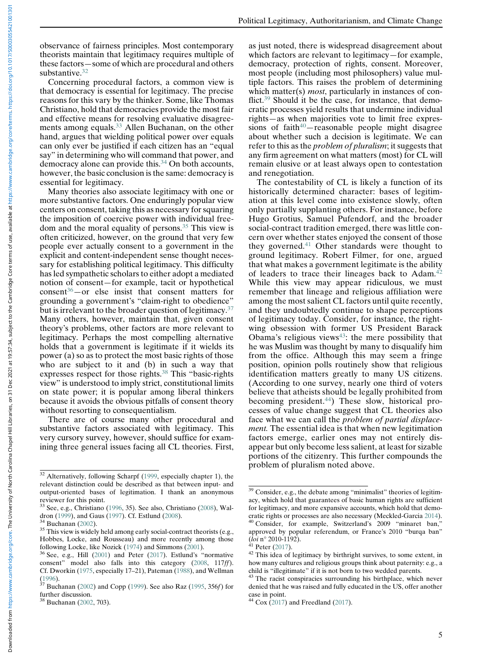observance of fairness principles. Most contemporary theorists maintain that legitimacy requires multiple of these factors—some of which are procedural and others substantive.<sup>[32](#page-4-0)</sup>

Concerning procedural factors, a common view is that democracy is essential for legitimacy. The precise reasons for this vary by the thinker. Some, like Thomas Christiano, hold that democracies provide the most fair and effective means for resolving evaluative disagree-ments among equals.<sup>[33](#page-4-1)</sup> Allen Buchanan, on the other hand, argues that wielding political power over equals can only ever be justified if each citizen has an "equal say" in determining who will command that power, and democracy alone can provide this.<sup>[34](#page-4-2)</sup> On both accounts, however, the basic conclusion is the same: democracy is essential for legitimacy.

Many theories also associate legitimacy with one or more substantive factors. One enduringly popular view centers on consent, taking this as necessary for squaring the imposition of coercive power with individual freedom and the moral equality of persons.[35](#page-4-3) This view is often criticized, however, on the ground that very few people ever actually consent to a government in the explicit and content-independent sense thought necessary for establishing political legitimacy. This difficulty has led sympathetic scholars to either adopt a mediated notion of consent—for example, tacit or hypothetical  $constant^{36}$  $constant^{36}$  $constant^{36}$ —or else insist that consent matters for grounding a government's "claim-right to obedience" but is irrelevant to the broader question of legitimacy.<sup>[37](#page-4-5)</sup> Many others, however, maintain that, given consent theory's problems, other factors are more relevant to legitimacy. Perhaps the most compelling alternative holds that a government is legitimate if it wields its power (a) so as to protect the most basic rights of those who are subject to it and (b) in such a way that expresses respect for those rights.[38](#page-4-6) This "basic-rights view" is understood to imply strict, constitutional limits on state power; it is popular among liberal thinkers because it avoids the obvious pitfalls of consent theory without resorting to consequentialism.

There are of course many other procedural and substantive factors associated with legitimacy. This very cursory survey, however, should suffice for examining three general issues facing all CL theories. First, as just noted, there is widespread disagreement about which factors are relevant to legitimacy—for example, democracy, protection of rights, consent. Moreover, most people (including most philosophers) value multiple factors. This raises the problem of determining which matter(s) *most*, particularly in instances of conflict.[39](#page-4-7) Should it be the case, for instance, that democratic processes yield results that undermine individual rights—as when majorities vote to limit free expressions of faith $40$ -reasonable people might disagree about whether such a decision is legitimate. We can refer to this as the problem of pluralism; it suggests that any firm agreement on what matters (most) for CL will remain elusive or at least always open to contestation and renegotiation.

The contestability of CL is likely a function of its historically determined character: bases of legitimation at this level come into existence slowly, often only partially supplanting others. For instance, before Hugo Grotius, Samuel Pufendorf, and the broader social-contract tradition emerged, there was little concern over whether states enjoyed the consent of those they governed.<sup>[41](#page-4-8)</sup> Other standards were thought to ground legitimacy. Robert Filmer, for one, argued that what makes a government legitimate is the ability of leaders to trace their lineages back to Adam.<sup>[42](#page-4-4)</sup> While this view may appear ridiculous, we must remember that lineage and religious affiliation were among the most salient CL factors until quite recently, and they undoubtedly continue to shape perceptions of legitimacy today. Consider, for instance, the rightwing obsession with former US President Barack Obama's religious views $43$ : the mere possibility that he was Muslim was thought by many to disqualify him from the office. Although this may seem a fringe position, opinion polls routinely show that religious identification matters greatly to many US citizens. (According to one survey, nearly one third of voters believe that atheists should be legally prohibited from becoming president.<sup>[44](#page-4-6)</sup>) These slow, historical processes of value change suggest that CL theories also face what we can call the problem of partial displacement. The essential idea is that when new legitimation factors emerge, earlier ones may not entirely disappear but only become less salient, at least for sizable portions of the citizenry. This further compounds the problem of pluralism noted above.

<span id="page-4-0"></span><sup>32</sup> Alternatively, following Scharpf [\(1999](#page-13-15), especially chapter 1), the relevant distinction could be described as that between input- and output-oriented bases of legitimation. I thank an anonymous reviewer for this point.

<span id="page-4-7"></span><span id="page-4-1"></span> $33$  See, e.g., Christiano ([1996,](#page-12-18) 35). See also, Christiano ([2008\)](#page-12-19), Waldron (1999), and Gaus (1997). Cf. Estlund (2008).

<span id="page-4-3"></span><span id="page-4-2"></span><sup>&</sup>lt;sup>34</sup> Buchanan [\(2002\)](#page-12-17). <sup>35</sup> This view is widely held among early social-contract theorists (e.g., Hobbes, Locke, and Rousseau) and more recently among those following Locke, like Nozick ([1974\)](#page-13-17) and Simmons ([2001\)](#page-12-22).  $36$  See, e.g., Hill (2001) and Peter [\(2017](#page-13-18)). Estlund's "normative

<span id="page-4-8"></span><span id="page-4-4"></span>consent" model also falls into this category [\(2008](#page-12-21), 117ff). Cf. Dworkin [\(1975](#page-12-23), especially 17–21), Pateman [\(1988](#page-13-19)), and Wellman

<span id="page-4-9"></span><span id="page-4-5"></span><sup>(</sup>[1996\)](#page-13-20).  $37$  Buchanan [\(2002](#page-12-17)) and Copp ([1999\)](#page-12-24). See also Raz ([1995,](#page-13-21) 356*f*) for further discussion.

<span id="page-4-6"></span>Buchanan [\(2002,](#page-12-17) 703).

<sup>&</sup>lt;sup>39</sup> Consider, e.g., the debate among "minimalist" theories of legitimacy, which hold that guarantees of basic human rights are sufficient for legitimacy, and more expansive accounts, which hold that democratic rights or processes are also necessary (Meckled-Garcia [2014\)](#page-12-25). <sup>40</sup> Consider, for example, Switzerland's 2009 "minaret ban," approved by popular referendum, or France's 2010 "burqa ban"  $(loi$  n° 2010-1192).

<sup>&</sup>lt;sup>41</sup> Peter ([2017\)](#page-13-18).  $\overline{a}$ <br><sup>42</sup> This idea of legitimacy by birthright survives, to some extent, in how many cultures and religious groups think about paternity: e.g., a child is "illegitimate" if it is not born to two wedded parents.

<sup>&</sup>lt;sup>43</sup> The racist conspiracies surrounding his birthplace, which never denied that he was raised and fully educated in the US, offer another

case in point.<br> $44 \text{ Cox}$  [\(2017](#page-12-26)) and Freedland ([2017\)](#page-12-27).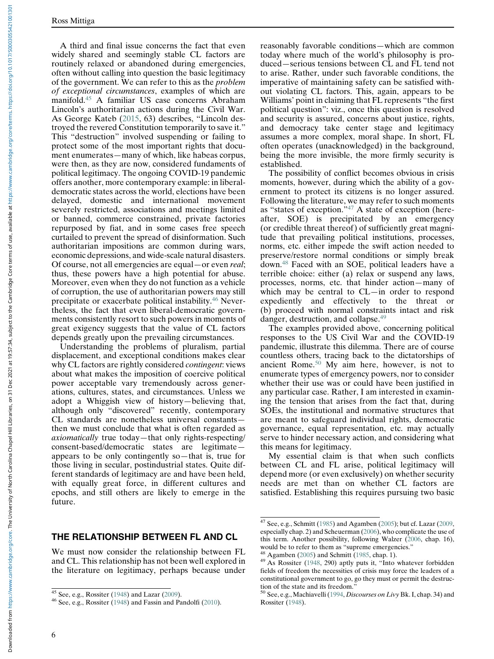A third and final issue concerns the fact that even widely shared and seemingly stable CL factors are routinely relaxed or abandoned during emergencies, often without calling into question the basic legitimacy of the government. We can refer to this as the problem of exceptional circumstances, examples of which are manifold.[45](#page-5-0) A familiar US case concerns Abraham Lincoln's authoritarian actions during the Civil War. As George Kateb [\(2015](#page-12-28), 63) describes, "Lincoln destroyed the revered Constitution temporarily to save it." This "destruction" involved suspending or failing to protect some of the most important rights that document enumerates—many of which, like habeas corpus, were then, as they are now, considered fundaments of political legitimacy. The ongoing COVID-19 pandemic offers another, more contemporary example: in liberaldemocratic states across the world, elections have been delayed, domestic and international movement severely restricted, associations and meetings limited or banned, commerce constrained, private factories repurposed by fiat, and in some cases free speech curtailed to prevent the spread of disinformation. Such authoritarian impositions are common during wars, economic depressions, and wide-scale natural disasters. Of course, not all emergencies are equal—or even real; thus, these powers have a high potential for abuse. Moreover, even when they do not function as a vehicle of corruption, the use of authoritarian powers may still precipitate or exacerbate political instability.[46](#page-5-1) Nevertheless, the fact that even liberal-democratic governments consistently resort to such powers in moments of great exigency suggests that the value of CL factors depends greatly upon the prevailing circumstances.

Understanding the problems of pluralism, partial displacement, and exceptional conditions makes clear why CL factors are rightly considered contingent: views about what makes the imposition of coercive political power acceptable vary tremendously across generations, cultures, states, and circumstances. Unless we adopt a Whiggish view of history—believing that, although only "discovered" recently, contemporary CL standards are nonetheless universal constants then we must conclude that what is often regarded as axiomatically true today—that only rights-respecting/ consent-based/democratic states are legitimate appears to be only contingently so—that is, true for those living in secular, postindustrial states. Quite different standards of legitimacy are and have been held, with equally great force, in different cultures and epochs, and still others are likely to emerge in the future.

## <span id="page-5-2"></span>THE RELATIONSHIP BETWEEN FL AND CL

<span id="page-5-4"></span><span id="page-5-3"></span>We must now consider the relationship between FL and CL. This relationship has not been well explored in the literature on legitimacy, perhaps because under reasonably favorable conditions—which are common today where much of the world's philosophy is produced—serious tensions between CL and FL tend not to arise. Rather, under such favorable conditions, the imperative of maintaining safety can be satisfied without violating CL factors. This, again, appears to be Williams' point in claiming that FL represents "the first political question": viz., once this question is resolved and security is assured, concerns about justice, rights, and democracy take center stage and legitimacy assumes a more complex, moral shape. In short, FL often operates (unacknowledged) in the background, being the more invisible, the more firmly security is established.

The possibility of conflict becomes obvious in crisis moments, however, during which the ability of a government to protect its citizens is no longer assured. Following the literature, we may refer to such moments as "states of exception."[47](#page-5-2) A state of exception (hereafter, SOE) is precipitated by an emergency (or credible threat thereof) of sufficiently great magnitude that prevailing political institutions, processes, norms, etc. either impede the swift action needed to preserve/restore normal conditions or simply break down[.48](#page-5-3) Faced with an SOE, political leaders have a terrible choice: either (a) relax or suspend any laws, processes, norms, etc. that hinder action—many of which may be central to CL—in order to respond expediently and effectively to the threat or (b) proceed with normal constraints intact and risk danger, destruction, and collapse.<sup>[49](#page-5-4)</sup>

The examples provided above, concerning political responses to the US Civil War and the COVID-19 pandemic, illustrate this dilemma. There are of course countless others, tracing back to the dictatorships of ancient Rome.[50](#page-5-0) My aim here, however, is not to enumerate types of emergency powers, nor to consider whether their use was or could have been justified in any particular case. Rather, I am interested in examining the tension that arises from the fact that, during SOEs, the institutional and normative structures that are meant to safeguard individual rights, democratic governance, equal representation, etc. may actually serve to hinder necessary action, and considering what this means for legitimacy.

My essential claim is that when such conflicts between CL and FL arise, political legitimacy will depend more (or even exclusively) on whether security needs are met than on whether CL factors are satisfied. Establishing this requires pursuing two basic

<span id="page-5-1"></span><span id="page-5-0"></span><sup>&</sup>lt;sup>45</sup> See, e.g., Rossiter ([1948](#page-13-5)) and Lazar ([2009\)](#page-12-6).<br><sup>46</sup> See, e.g., Rossiter (1948) and Fassin and Pandolfi [\(2010](#page-12-29)).

 $47$  See, e.g., Schmitt ([1985\)](#page-13-22) and Agamben ([2005\)](#page-11-1); but cf. Lazar [\(2009](#page-12-6), especially chap. 2) and Scheuerman [\(2006](#page-13-23)), who complicate the use of this term. Another possibility, following Walzer ([2006,](#page-13-21) chap. 16), would be to refer to them as "supreme emergencies."<br><sup>48</sup> Agamben [\(2005](#page-11-1)) and Schmitt ([1985,](#page-13-22) chap. 1).<br><sup>49</sup> As Rossiter ([1948,](#page-13-5) 290) aptly puts it, "Into whatever forbidden

fields of freedom the necessities of crisis may force the leaders of a constitutional government to go, go they must or permit the destruc-

tion of the state and its freedom."<br><sup>50</sup> See, e.g., Machiavelli ([1994,](#page-12-23) *Discourses on Livy* Bk. I, chap. 34) and Rossiter ([1948\)](#page-13-5).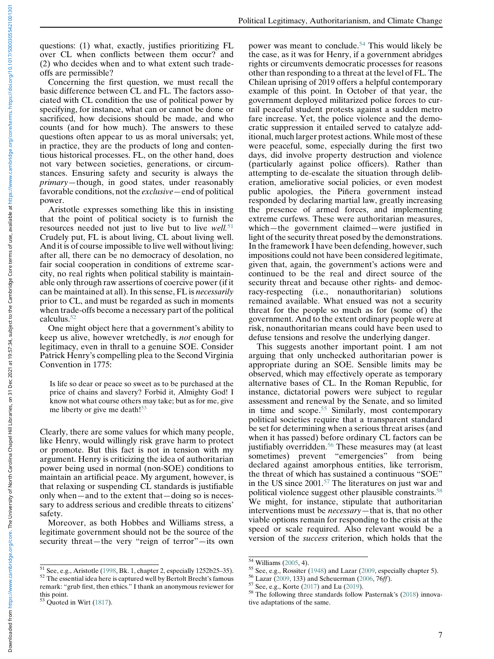questions: (1) what, exactly, justifies prioritizing FL over CL when conflicts between them occur? and (2) who decides when and to what extent such tradeoffs are permissible?

Concerning the first question, we must recall the basic difference between CL and FL. The factors associated with CL condition the use of political power by specifying, for instance, what can or cannot be done or sacrificed, how decisions should be made, and who counts (and for how much). The answers to these questions often appear to us as moral universals; yet, in practice, they are the products of long and contentious historical processes. FL, on the other hand, does not vary between societies, generations, or circumstances. Ensuring safety and security is always the primary—though, in good states, under reasonably favorable conditions, not the exclusive—end of political power.

Aristotle expresses something like this in insisting that the point of political society is to furnish the resources needed not just to live but to live well.<sup>[51](#page-6-0)</sup> Crudely put, FL is about living, CL about living well. And it is of course impossible to live well without living: after all, there can be no democracy of desolation, no fair social cooperation in conditions of extreme scarcity, no real rights when political stability is maintainable only through raw assertions of coercive power (if it can be maintained at all). In this sense, FL is necessarily prior to CL, and must be regarded as such in moments when trade-offs become a necessary part of the political calculus.[52](#page-6-1)

One might object here that a government's ability to keep us alive, however wretchedly, is not enough for legitimacy, even in thrall to a genuine SOE. Consider Patrick Henry's compelling plea to the Second Virginia Convention in 1775:

Is life so dear or peace so sweet as to be purchased at the price of chains and slavery? Forbid it, Almighty God! I know not what course others may take; but as for me, give me liberty or give me death!<sup>[53](#page-6-2)</sup>

Clearly, there are some values for which many people, like Henry, would willingly risk grave harm to protect or promote. But this fact is not in tension with my argument. Henry is criticizing the idea of authoritarian power being used in normal (non-SOE) conditions to maintain an artificial peace. My argument, however, is that relaxing or suspending CL standards is justifiable only when—and to the extent that—doing so is necessary to address serious and credible threats to citizens' safety.

Moreover, as both Hobbes and Williams stress, a legitimate government should not be the source of the security threat—the very "reign of terror"—its own power was meant to conclude.<sup>[54](#page-6-3)</sup> This would likely be the case, as it was for Henry, if a government abridges rights or circumvents democratic processes for reasons other than responding to a threat at the level of FL. The Chilean uprising of 2019 offers a helpful contemporary example of this point. In October of that year, the government deployed militarized police forces to curtail peaceful student protests against a sudden metro fare increase. Yet, the police violence and the democratic suppression it entailed served to catalyze additional, much larger protest actions. While most of these were peaceful, some, especially during the first two days, did involve property destruction and violence (particularly against police officers). Rather than attempting to de-escalate the situation through deliberation, ameliorative social policies, or even modest public apologies, the Piñera government instead responded by declaring martial law, greatly increasing the presence of armed forces, and implementing extreme curfews. These were authoritarian measures, which—the government claimed—were justified in light of the security threat posed by the demonstrations. In the framework I have been defending, however, such impositions could not have been considered legitimate, given that, again, the government's actions were and continued to be the real and direct source of the security threat and because other rights- and democracy-respecting (i.e., nonauthoritarian) solutions remained available. What ensued was not a security threat for the people so much as for (some of) the government. And to the extent ordinary people were at risk, nonauthoritarian means could have been used to defuse tensions and resolve the underlying danger.

This suggests another important point. I am not arguing that only unchecked authoritarian power is appropriate during an SOE. Sensible limits may be observed, which may effectively operate as temporary alternative bases of CL. In the Roman Republic, for instance, dictatorial powers were subject to regular assessment and renewal by the Senate, and so limited in time and scope.<sup>[55](#page-6-0)</sup> Similarly, most contemporary political societies require that a transparent standard be set for determining when a serious threat arises (and when it has passed) before ordinary CL factors can be justifiably overridden.<sup>[56](#page-6-1)</sup> These measures may (at least sometimes) prevent "emergencies" from being declared against amorphous entities, like terrorism, the threat of which has sustained a continuous "SOE" in the US since 2001.[57](#page-6-4) The literatures on just war and political violence suggest other plausible constraints.[58](#page-6-5) We might, for instance, stipulate that authoritarian interventions must be necessary—that is, that no other viable options remain for responding to the crisis at the speed or scale required. Also relevant would be a version of the success criterion, which holds that the

<span id="page-6-3"></span><span id="page-6-1"></span><span id="page-6-0"></span><sup>&</sup>lt;sup>51</sup> See, e.g., Aristotle [\(1998](#page-11-2), Bk. 1, chapter 2, especially 1252b25–35).<br><sup>52</sup> The essential idea here is captured well by Bertolt Brecht's famous remark: "grub first, then ethics." I thank an anonymous reviewer for

<span id="page-6-5"></span><span id="page-6-4"></span><span id="page-6-2"></span>this point.

 $53$  Quoted in Wirt [\(1817](#page-13-22)).

<sup>&</sup>lt;sup>54</sup> Williams ([2005](#page-13-10), 4).<br><sup>55</sup> See, e.g., Rossiter [\(1948](#page-13-5)) and Lazar ([2009,](#page-12-6) especially chapter 5).<br><sup>56</sup> Lazar [\(2009](#page-12-6), 133) and Scheuerman [\(2006](#page-13-23), 76*ff)*.<br><sup>57</sup> See, e.g., Korte [\(2017](#page-12-30)) and Lu [\(2019](#page-12-31)).<br><sup>58</sup> The following three s

tive adaptations of the same.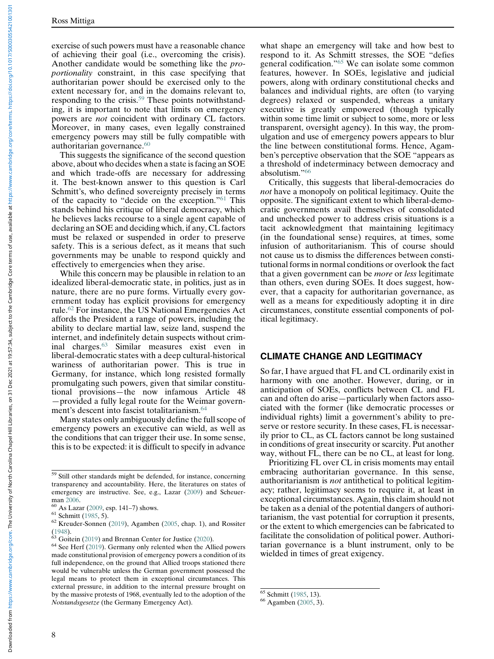exercise of such powers must have a reasonable chance of achieving their goal (i.e., overcoming the crisis). Another candidate would be something like the proportionality constraint, in this case specifying that authoritarian power should be exercised only to the extent necessary for, and in the domains relevant to, responding to the crisis.[59](#page-7-0) These points notwithstanding, it is important to note that limits on emergency powers are not coincident with ordinary CL factors. Moreover, in many cases, even legally constrained emergency powers may still be fully compatible with authoritarian governance.<sup>[60](#page-7-1)</sup>

This suggests the significance of the second question above, about who decides when a state is facing an SOE and which trade-offs are necessary for addressing it. The best-known answer to this question is Carl Schmitt's, who defined sovereignty precisely in terms of the capacity to "decide on the exception."[61](#page-7-2) This stands behind his critique of liberal democracy, which he believes lacks recourse to a single agent capable of declaring an SOE and deciding which, if any, CL factors must be relaxed or suspended in order to preserve safety. This is a serious defect, as it means that such governments may be unable to respond quickly and effectively to emergencies when they arise.

While this concern may be plausible in relation to an idealized liberal-democratic state, in politics, just as in nature, there are no pure forms. Virtually every government today has explicit provisions for emergency rule.[62](#page-7-3) For instance, the US National Emergencies Act affords the President a range of powers, including the ability to declare martial law, seize land, suspend the internet, and indefinitely detain suspects without criminal charges.[63](#page-7-4) Similar measures exist even in liberal-democratic states with a deep cultural-historical wariness of authoritarian power. This is true in Germany, for instance, which long resisted formally promulgating such powers, given that similar constitutional provisions—the now infamous Article 48 —provided a fully legal route for the Weimar govern-ment's descent into fascist totalitarianism.<sup>[64](#page-7-5)</sup>

Many states only ambiguously define the full scope of emergency powers an executive can wield, as well as the conditions that can trigger their use. In some sense, this is to be expected: it is difficult to specify in advance

what shape an emergency will take and how best to respond to it. As Schmitt stresses, the SOE "defies general codification."[65](#page-7-6) We can isolate some common features, however. In SOEs, legislative and judicial powers, along with ordinary constitutional checks and balances and individual rights, are often (to varying degrees) relaxed or suspended, whereas a unitary executive is greatly empowered (though typically within some time limit or subject to some, more or less transparent, oversight agency). In this way, the promulgation and use of emergency powers appears to blur the line between constitutional forms. Hence, Agamben's perceptive observation that the SOE "appears as a threshold of indeterminacy between democracy and absolutism."[66](#page-7-7)

Critically, this suggests that liberal-democracies do not have a monopoly on political legitimacy. Quite the opposite. The significant extent to which liberal-democratic governments avail themselves of consolidated and unchecked power to address crisis situations is a tacit acknowledgment that maintaining legitimacy (in the foundational sense) requires, at times, some infusion of authoritarianism. This of course should not cause us to dismiss the differences between constitutional forms in normal conditions or overlook the fact that a given government can be more or less legitimate than others, even during SOEs. It does suggest, however, that a capacity for authoritarian governance, as well as a means for expeditiously adopting it in dire circumstances, constitute essential components of political legitimacy.

## CLIMATE CHANGE AND LEGITIMACY

So far, I have argued that FL and CL ordinarily exist in harmony with one another. However, during, or in anticipation of SOEs, conflicts between CL and FL can and often do arise—particularly when factors associated with the former (like democratic processes or individual rights) limit a government's ability to preserve or restore security. In these cases, FL is necessarily prior to CL, as CL factors cannot be long sustained in conditions of great insecurity or scarcity. Put another way, without FL, there can be no CL, at least for long.

Prioritizing FL over CL in crisis moments may entail embracing authoritarian governance. In this sense, authoritarianism is not antithetical to political legitimacy; rather, legitimacy seems to require it, at least in exceptional circumstances. Again, this claim should not be taken as a denial of the potential dangers of authoritarianism, the vast potential for corruption it presents, or the extent to which emergencies can be fabricated to facilitate the consolidation of political power. Authoritarian governance is a blunt instrument, only to be wielded in times of great exigency.

<span id="page-7-0"></span><sup>59</sup> Still other standards might be defended, for instance, concerning transparency and accountability. Here, the literatures on states of emergency are instructive. See, e.g., Lazar ([2009\)](#page-12-6) and Scheuer-

<span id="page-7-3"></span><span id="page-7-2"></span>

<span id="page-7-1"></span>man [2006](#page-13-23).<br><sup>60</sup> As Lazar [\(2009](#page-12-6), esp. 141–7) shows.<br><sup>61</sup> Schmitt ([1985,](#page-13-22) 5).<br><sup>62</sup> Kreuder-Sonnen ([2019\)](#page-12-32), Agamben [\(2005](#page-11-1), chap. 1), and Rossiter [\(1948](#page-13-5)).  $63$  Goitein ([2019\)](#page-12-33) and Brennan Center for Justice [\(2020](#page-12-34)).  $64$  See Herf [\(2019](#page-12-35)). Germany only relented when the Allied powers

<span id="page-7-7"></span><span id="page-7-6"></span><span id="page-7-5"></span><span id="page-7-4"></span>made constitutional provision of emergency powers a condition of its full independence, on the ground that Allied troops stationed there would be vulnerable unless the German government possessed the legal means to protect them in exceptional circumstances. This external pressure, in addition to the internal pressure brought on by the massive protests of 1968, eventually led to the adoption of the Notstandsgesetze (the Germany Emergency Act).

 $^{65}$  Schmitt ([1985,](#page-13-22) 13).<br><sup>66</sup> Agamben [\(2005](#page-11-1), 3).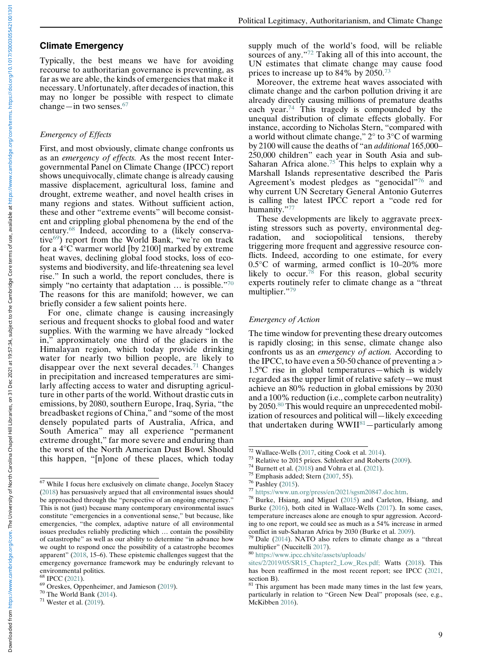Downloaded from https://www.cambridge.org/core. The University of North Carolie of hearth Chapel Hill Libraries, on 31 Dec 2021 at 1957:34, subject to the Cambridge or eterms of use, available at https://www.cambridge.org/ Downloaded from https://www.cambridge.org/core. The University of North Garolina chapel Hill Libraries, on 31 Dec 2021 at 1957:34, subject to the Cambridge or e terms of use, available at https://www.cambridge.org/core/ter

### Climate Emergency

Typically, the best means we have for avoiding recourse to authoritarian governance is preventing, as far as we are able, the kinds of emergencies that make it necessary. Unfortunately, after decades of inaction, this may no longer be possible with respect to climate change—in two senses. $67$ 

#### Emergency of Effects

First, and most obviously, climate change confronts us as an emergency of effects. As the most recent Intergovernmental Panel on Climate Change (IPCC) report shows unequivocally, climate change is already causing massive displacement, agricultural loss, famine and drought, extreme weather, and novel health crises in many regions and states. Without sufficient action, these and other "extreme events" will become consistent and crippling global phenomena by the end of the century.[68](#page-8-1) Indeed, according to a (likely conservative[69](#page-8-2)) report from the World Bank, "we're on track for a  $4^{\circ}$ C warmer world [by 2100] marked by extreme heat waves, declining global food stocks, loss of ecosystems and biodiversity, and life-threatening sea level rise." In such a world, the report concludes, there is simply "no certainty that adaptation ... is possible."[70](#page-8-3) The reasons for this are manifold; however, we can briefly consider a few salient points here.

For one, climate change is causing increasingly serious and frequent shocks to global food and water supplies. With the warming we have already "locked in," approximately one third of the glaciers in the Himalayan region, which today provide drinking water for nearly two billion people, are likely to disappear over the next several decades.<sup>[71](#page-8-4)</sup> Changes in precipitation and increased temperatures are similarly affecting access to water and disrupting agriculture in other parts of the world. Without drastic cuts in emissions, by 2080, southern Europe, Iraq, Syria, "the breadbasket regions of China," and "some of the most densely populated parts of Australia, Africa, and South America" may all experience "permanent extreme drought," far more severe and enduring than the worst of the North American Dust Bowl. Should this happen, "[n]one of these places, which today

supply much of the world's food, will be reliable sources of any."[72](#page-8-5) Taking all of this into account, the UN estimates that climate change may cause food prices to increase up to 84% by 2050.<sup>[73](#page-8-6)</sup>

Moreover, the extreme heat waves associated with climate change and the carbon pollution driving it are already directly causing millions of premature deaths each year.[74](#page-8-7) This tragedy is compounded by the unequal distribution of climate effects globally. For instance, according to Nicholas Stern, "compared with a world without climate change," 2° to 3°C of warming by 2100 will cause the deaths of "an additional 165,000– 250,000 children" each year in South Asia and sub-Saharan Africa alone.<sup>[75](#page-8-8)</sup> This helps to explain why a Marshall Islands representative described the Paris Agreement's modest pledges as "genocidal"[76](#page-8-0) and why current UN Secretary General Antonio Guterres is calling the latest IPCC report a "code red for humanity."[77](#page-8-9)

These developments are likely to aggravate preexisting stressors such as poverty, environmental degradation, and sociopolitical tensions, thereby triggering more frequent and aggressive resource conflicts. Indeed, according to one estimate, for every 0.5°C of warming, armed conflict is 10–20% more likely to occur.<sup>78</sup> For this reason, global security experts routinely refer to climate change as a "threat multiplier."[79](#page-8-11)

#### Emergency of Action

The time window for preventing these dreary outcomes is rapidly closing; in this sense, climate change also confronts us as an emergency of action. According to the IPCC, to have even a 50-50 chance of preventing a  $>$ 1.5ºC rise in global temperatures—which is widely regarded as the upper limit of relative safety—we must achieve an 80% reduction in global emissions by 2030 and a 100% reduction (i.e., complete carbon neutrality) by 2050.<sup>[80](#page-8-12)</sup> This would require an unprecedented mobilization of resources and political will—likely exceeding that undertaken during WWII<sup>[81](#page-8-2)</sup>-particularly among

<span id="page-8-10"></span><span id="page-8-9"></span><span id="page-8-8"></span><span id="page-8-7"></span><span id="page-8-6"></span><span id="page-8-5"></span><span id="page-8-0"></span><sup>67</sup> While I focus here exclusively on climate change, Jocelyn Stacey ([2018\)](#page-13-25) has persuasively argued that all environmental issues should be approached through the "perspective of an ongoing emergency." This is not (just) because many contemporary environmental issues constitute "emergencies in a conventional sense," but because, like emergencies, "the complex, adaptive nature of all environmental issues precludes reliably predicting which … contain the possibility of catastrophe" as well as our ability to determine "in advance how we ought to respond once the possibility of a catastrophe becomes apparent" ([2018,](#page-13-25) 15–6). These epistemic challenges suggest that the emergency governance framework may be enduringly relevant to environmental politics.<br><sup>68</sup> IPCC (2021).

<span id="page-8-12"></span><span id="page-8-11"></span><span id="page-8-3"></span><span id="page-8-2"></span><span id="page-8-1"></span><sup>&</sup>lt;sup>69</sup> Oreskes, Oppenheimer, and Jamieson ([2019\)](#page-13-28).<br><sup>70</sup> The World Bank ([2014\)](#page-13-27).<br><sup>71</sup> Wester et al. (2019).

<span id="page-8-4"></span>

<sup>&</sup>lt;sup>72</sup> Wallace-Wells ([2017,](#page-13-13) citing Cook et al. [2014\)](#page-12-37).<br><sup>73</sup> Relative to 2015 prices. Schlenker and Roberts [\(2009\)](#page-13-29).<br><sup>74</sup> Burnett et al. [\(2018](#page-12-20)) and Vohra et al. [\(2021](#page-13-19)).<br><sup>75</sup> Emphasis added; Stern ([2007,](#page-13-30) 55).<br><sup>76</sup> Pashley (2015 Burke ([2016\)](#page-12-38), both cited in Wallace-Wells ([2017\)](#page-13-13). In some cases, temperature increases alone are enough to spur aggression. According to one report, we could see as much as a 54% increase in armed conflict in sub-Saharan Africa by 2030 (Burke et al. 2009).

 $79$  Dale [\(2014](#page-12-39)). NATO also refers to climate change as a "threat multiplier" (Nuccitelli [2017\)](#page-13-32).<br><sup>80</sup> [https://www.ipcc.ch/site/assets/uploads/](https://www.ipcc.ch/site/assets/uploads/sites/2/2019/05/SR15_Chapter2_Low_Res.pdf;)

[sites/2/2019/05/SR15\\_Chapter2\\_Low\\_Res.pdf;](https://www.ipcc.ch/site/assets/uploads/sites/2/2019/05/SR15_Chapter2_Low_Res.pdf;) Watts ([2018\)](#page-13-14). This has been reaffirmed in the most recent report; see IPCC [\(2021](#page-12-36), section B).

 $81$  This argument has been made many times in the last few years, particularly in relation to "Green New Deal" proposals (see, e.g., McKibben [2016](#page-12-29)).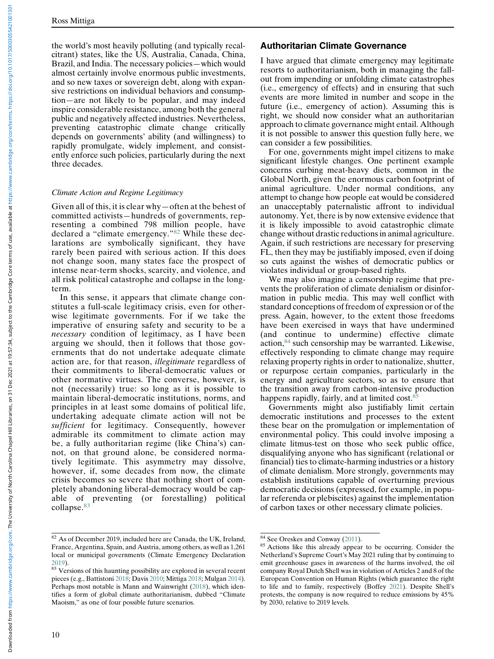the world's most heavily polluting (and typically recalcitrant) states, like the US, Australia, Canada, China, Brazil, and India. The necessary policies—which would almost certainly involve enormous public investments, and so new taxes or sovereign debt, along with expansive restrictions on individual behaviors and consumption—are not likely to be popular, and may indeed inspire considerable resistance, among both the general public and negatively affected industries. Nevertheless, preventing catastrophic climate change critically depends on governments' ability (and willingness) to rapidly promulgate, widely implement, and consistently enforce such policies, particularly during the next three decades.

#### Climate Action and Regime Legitimacy

Given all of this, it is clear why—often at the behest of committed activists—hundreds of governments, representing a combined 798 million people, have declared a "climate emergency."[82](#page-9-0) While these declarations are symbolically significant, they have rarely been paired with serious action. If this does not change soon, many states face the prospect of intense near-term shocks, scarcity, and violence, and all risk political catastrophe and collapse in the longterm.

In this sense, it appears that climate change constitutes a full-scale legitimacy crisis, even for otherwise legitimate governments. For if we take the imperative of ensuring safety and security to be a necessary condition of legitimacy, as I have been arguing we should, then it follows that those governments that do not undertake adequate climate action are, for that reason, illegitimate regardless of their commitments to liberal-democratic values or other normative virtues. The converse, however, is not (necessarily) true: so long as it is possible to maintain liberal-democratic institutions, norms, and principles in at least some domains of political life, undertaking adequate climate action will not be sufficient for legitimacy. Consequently, however admirable its commitment to climate action may be, a fully authoritarian regime (like China's) cannot, on that ground alone, be considered normatively legitimate. This asymmetry may dissolve, however, if, some decades from now, the climate crisis becomes so severe that nothing short of completely abandoning liberal-democracy would be capable of preventing (or forestalling) political collapse.<sup>[83](#page-9-1)</sup>

#### Authoritarian Climate Governance

I have argued that climate emergency may legitimate resorts to authoritarianism, both in managing the fallout from impending or unfolding climate catastrophes (i.e., emergency of effects) and in ensuring that such events are more limited in number and scope in the future (i.e., emergency of action). Assuming this is right, we should now consider what an authoritarian approach to climate governance might entail. Although it is not possible to answer this question fully here, we can consider a few possibilities.

For one, governments might impel citizens to make significant lifestyle changes. One pertinent example concerns curbing meat-heavy diets, common in the Global North, given the enormous carbon footprint of animal agriculture. Under normal conditions, any attempt to change how people eat would be considered an unacceptably paternalistic affront to individual autonomy. Yet, there is by now extensive evidence that it is likely impossible to avoid catastrophic climate change without drastic reductions in animal agriculture. Again, if such restrictions are necessary for preserving FL, then they may be justifiably imposed, even if doing so cuts against the wishes of democratic publics or violates individual or group-based rights.

We may also imagine a censorship regime that prevents the proliferation of climate denialism or disinformation in public media. This may well conflict with standard conceptions of freedom of expression or of the press. Again, however, to the extent those freedoms have been exercised in ways that have undermined (and continue to undermine) effective climate action,[84](#page-9-0) such censorship may be warranted. Likewise, effectively responding to climate change may require relaxing property rights in order to nationalize, shutter, or repurpose certain companies, particularly in the energy and agriculture sectors, so as to ensure that the transition away from carbon-intensive production happens rapidly, fairly, and at limited cost.<sup>[85](#page-9-2)</sup>

Governments might also justifiably limit certain democratic institutions and processes to the extent these bear on the promulgation or implementation of environmental policy. This could involve imposing a climate litmus-test on those who seek public office, disqualifying anyone who has significant (relational or financial) ties to climate-harming industries or a history of climate denialism. More strongly, governments may establish institutions capable of overturning previous democratic decisions (expressed, for example, in popular referenda or plebiscites) against the implementation of carbon taxes or other necessary climate policies.

<span id="page-9-2"></span><span id="page-9-0"></span><sup>&</sup>lt;sup>82</sup> As of December 2019, included here are Canada, the UK, Ireland, France, Argentina, Spain, and Austria, among others, as well as 1,261 local or municipal governments (Climate Emergency Declaration

<span id="page-9-1"></span>[<sup>2019\)</sup>](#page-12-28).<br> $83$  Versions of this haunting possibility are explored in several recent pieces (e.g., Battistoni [2018;](#page-12-20) Davis [2010;](#page-12-40) Mittiga [2018](#page-13-2); Mulgan [2014](#page-13-3)). Perhaps most notable is Mann and Wainwright [\(2018](#page-12-21)), which identifies a form of global climate authoritarianism, dubbed "Climate Maoism," as one of four possible future scenarios.

 $84$  See Oreskes and Conway [\(2011](#page-13-0)).<br> $85$  Actions like this already appear to be occurring. Consider the Netherland's Supreme Court's May 2021 ruling that by continuing to emit greenhouse gases in awareness of the harms involved, the oil company Royal Dutch Shell was in violation of Articles 2 and 8 of the European Convention on Human Rights (which guarantee the right to life and to family, respectively (Boffey [2021](#page-12-41)). Despite Shell's protests, the company is now required to reduce emissions by 45% by 2030, relative to 2019 levels.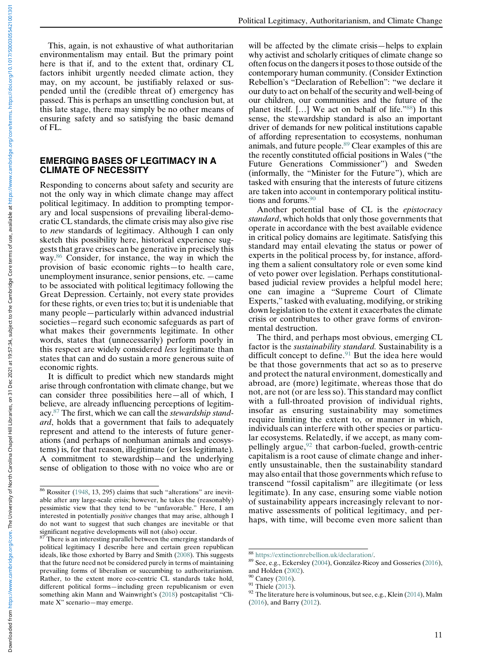Political Legitimacy, Authoritarianism, and Climate Change

This, again, is not exhaustive of what authoritarian environmentalism may entail. But the primary point here is that if, and to the extent that, ordinary CL factors inhibit urgently needed climate action, they may, on my account, be justifiably relaxed or suspended until the (credible threat of) emergency has passed. This is perhaps an unsettling conclusion but, at this late stage, there may simply be no other means of ensuring safety and so satisfying the basic demand of FL.

#### EMERGING BASES OF LEGITIMACY IN A CLIMATE OF NECESSITY

Responding to concerns about safety and security are not the only way in which climate change may affect political legitimacy. In addition to prompting temporary and local suspensions of prevailing liberal-democratic CL standards, the climate crisis may also give rise to new standards of legitimacy. Although I can only sketch this possibility here, historical experience suggests that grave crises can be generative in precisely this way[.86](#page-10-0) Consider, for instance, the way in which the provision of basic economic rights—to health care, unemployment insurance, senior pensions, etc. —came to be associated with political legitimacy following the Great Depression. Certainly, not every state provides for these rights, or even tries to; but it is undeniable that many people—particularly within advanced industrial societies—regard such economic safeguards as part of what makes their governments legitimate. In other words, states that (unnecessarily) perform poorly in this respect are widely considered less legitimate than states that can and do sustain a more generous suite of economic rights.

It is difficult to predict which new standards might arise through confrontation with climate change, but we can consider three possibilities here—all of which, I believe, are already influencing perceptions of legitimacy[.87](#page-10-1) The first, which we can call the stewardship standard, holds that a government that fails to adequately represent and attend to the interests of future generations (and perhaps of nonhuman animals and ecosystems) is, for that reason, illegitimate (or less legitimate). A commitment to stewardship—and the underlying sense of obligation to those with no voice who are or will be affected by the climate crisis—helps to explain why activist and scholarly critiques of climate change so often focus on the dangers it poses to those outside of the contemporary human community. (Consider Extinction Rebellion's "Declaration of Rebellion": "we declare it our duty to act on behalf of the security and well-being of our children, our communities and the future of the planet itself. […] We act on behalf of life."[88](#page-10-2)) In this sense, the stewardship standard is also an important driver of demands for new political institutions capable of affording representation to ecosystems, nonhuman animals, and future people[.89](#page-10-3) Clear examples of this are the recently constituted official positions in Wales ("the Future Generations Commissioner") and Sweden (informally, the "Minister for the Future"), which are tasked with ensuring that the interests of future citizens are taken into account in contemporary political institutions and forums.<sup>90</sup>

Another potential base of CL is the epistocracy standard, which holds that only those governments that operate in accordance with the best available evidence in critical policy domains are legitimate. Satisfying this standard may entail elevating the status or power of experts in the political process by, for instance, affording them a salient consultatory role or even some kind of veto power over legislation. Perhaps constitutionalbased judicial review provides a helpful model here; one can imagine a "Supreme Court of Climate Experts," tasked with evaluating, modifying, or striking down legislation to the extent it exacerbates the climate crisis or contributes to other grave forms of environmental destruction.

The third, and perhaps most obvious, emerging CL factor is the sustainability standard. Sustainability is a difficult concept to define. $91$  But the idea here would be that those governments that act so as to preserve and protect the natural environment, domestically and abroad, are (more) legitimate, whereas those that do not, are not (or are less so). This standard may conflict with a full-throated provision of individual rights, insofar as ensuring sustainability may sometimes require limiting the extent to, or manner in which, individuals can interfere with other species or particular ecosystems. Relatedly, if we accept, as many compellingly argue, $92$  that carbon-fueled, growth-centric capitalism is a root cause of climate change and inherently unsustainable, then the sustainability standard may also entail that those governments which refuse to transcend "fossil capitalism" are illegitimate (or less legitimate). In any case, ensuring some viable notion of sustainability appears increasingly relevant to normative assessments of political legitimacy, and perhaps, with time, will become even more salient than

<span id="page-10-0"></span><sup>86</sup> Rossiter [\(1948](#page-13-5), 13, 295) claims that such "alterations" are inevitable after any large-scale crisis; however, he takes the (reasonably) pessimistic view that they tend to be "unfavorable." Here, I am interested in potentially positive changes that may arise, although I do not want to suggest that such changes are inevitable or that significant negative developments will not (also) occur.<br> $\frac{87}{2}$  There is an interest.

<span id="page-10-6"></span><span id="page-10-5"></span><span id="page-10-4"></span><span id="page-10-3"></span><span id="page-10-2"></span><span id="page-10-1"></span>There is an interesting parallel between the emerging standards of political legitimacy I describe here and certain green republican ideals, like those exhorted by Barry and Smith ([2008\)](#page-11-3). This suggests that the future need not be considered purely in terms of maintaining prevailing forms of liberalism or succumbing to authoritarianism. Rather, to the extent more eco-centric CL standards take hold, different political forms—including green republicanism or even something akin Mann and Wainwright's ([2018\)](#page-12-21) postcapitalist "Climate X" scenario—may emerge.

<sup>&</sup>lt;sup>88</sup> <https://extinctionrebellion.uk/declaration/>.<br><sup>89</sup> See, e.g., Eckersley ([2004\)](#page-12-12), González-Ricoy and Gosseries ([2016\)](#page-12-42), and Holden (2002).

<sup>&</sup>lt;sup>90</sup> Caney [\(2016](#page-12-13)).<br><sup>91</sup> Thiele [\(2013](#page-13-31)).<br><sup>92</sup> The literature here is voluminous, but see, e.g., Klein [\(2014](#page-12-37)), Malm ([2016\)](#page-12-12), and Barry [\(2012](#page-11-4)).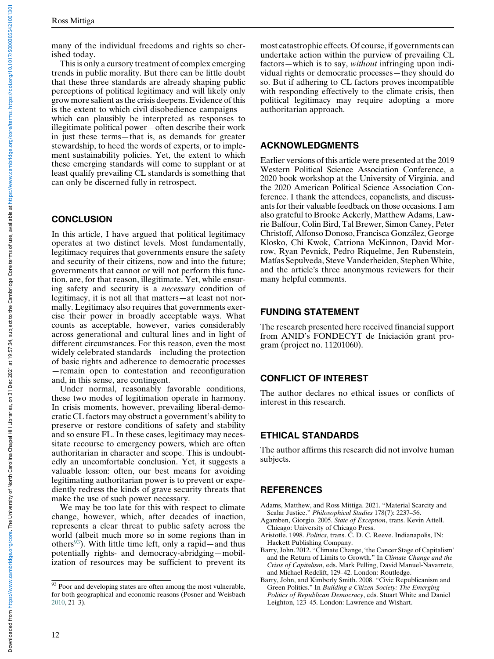many of the individual freedoms and rights so cherished today.

This is only a cursory treatment of complex emerging trends in public morality. But there can be little doubt that these three standards are already shaping public perceptions of political legitimacy and will likely only grow more salient as the crisis deepens. Evidence of this is the extent to which civil disobedience campaigns which can plausibly be interpreted as responses to illegitimate political power—often describe their work in just these terms—that is, as demands for greater stewardship, to heed the words of experts, or to implement sustainability policies. Yet, the extent to which these emerging standards will come to supplant or at least qualify prevailing CL standards is something that can only be discerned fully in retrospect.

## **CONCLUSION**

In this article, I have argued that political legitimacy operates at two distinct levels. Most fundamentally, legitimacy requires that governments ensure the safety and security of their citizens, now and into the future; governments that cannot or will not perform this function, are, for that reason, illegitimate. Yet, while ensuring safety and security is a necessary condition of legitimacy, it is not all that matters—at least not normally. Legitimacy also requires that governments exercise their power in broadly acceptable ways. What counts as acceptable, however, varies considerably across generational and cultural lines and in light of different circumstances. For this reason, even the most widely celebrated standards—including the protection of basic rights and adherence to democratic processes —remain open to contestation and reconfiguration and, in this sense, are contingent.

Under normal, reasonably favorable conditions, these two modes of legitimation operate in harmony. In crisis moments, however, prevailing liberal-democratic CL factors may obstruct a government's ability to preserve or restore conditions of safety and stability and so ensure FL. In these cases, legitimacy may necessitate recourse to emergency powers, which are often authoritarian in character and scope. This is undoubtedly an uncomfortable conclusion. Yet, it suggests a valuable lesson: often, our best means for avoiding legitimating authoritarian power is to prevent or expediently redress the kinds of grave security threats that make the use of such power necessary.

<span id="page-11-4"></span><span id="page-11-2"></span><span id="page-11-1"></span><span id="page-11-0"></span>We may be too late for this with respect to climate change, however, which, after decades of inaction, represents a clear threat to public safety across the world (albeit much more so in some regions than in others<sup>[93](#page-11-5)</sup>). With little time left, only a rapid—and thus potentially rights- and democracy-abridging—mobilization of resources may be sufficient to prevent its most catastrophic effects. Of course, if governments can undertake action within the purview of prevailing CL factors—which is to say, without infringing upon individual rights or democratic processes—they should do so. But if adhering to CL factors proves incompatible with responding effectively to the climate crisis, then political legitimacy may require adopting a more authoritarian approach.

### ACKNOWLEDGMENTS

Earlier versions of this article were presented at the 2019 Western Political Science Association Conference, a 2020 book workshop at the University of Virginia, and the 2020 American Political Science Association Conference. I thank the attendees, copanelists, and discussants for their valuable feedback on those occasions. I am also grateful to Brooke Ackerly, Matthew Adams, Lawrie Balfour, Colin Bird, Tal Brewer, Simon Caney, Peter Christoff, Alfonso Donoso, Francisca González, George Klosko, Chi Kwok, Catriona McKinnon, David Morrow, Ryan Pevnick, Pedro Riquelme, Jen Rubenstein, Matías Sepulveda, Steve Vanderheiden, Stephen White, and the article's three anonymous reviewers for their many helpful comments.

### FUNDING STATEMENT

The research presented here received financial support from ANID's FONDECYT de Iniciación grant program (project no. 11201060).

## CONFLICT OF INTEREST

The author declares no ethical issues or conflicts of interest in this research.

## ETHICAL STANDARDS

The author affirms this research did not involve human subjects.

## **REFERENCES**

- Adams, Matthew, and Ross Mittiga. 2021. "Material Scarcity and Scalar Justice." Philosophical Studies 178(7): 2237-56.
- Agamben, Giorgio. 2005. State of Exception, trans. Kevin Attell. Chicago: University of Chicago Press.
- Aristotle. 1998. Politics, trans. C. D. C. Reeve. Indianapolis, IN: Hackett Publishing Company.
- Barry, John. 2012. "Climate Change, 'the Cancer Stage of Capitalism' and the Return of Limits to Growth." In Climate Change and the Crisis of Capitalism, eds. Mark Pelling, David Manuel-Navarrete, and Michael Redclift, 129–42. London: Routledge.
- Barry, John, and Kimberly Smith. 2008. "Civic Republicanism and Green Politics." In Building a Citizen Society: The Emerging Politics of Republican Democracy, eds. Stuart White and Daniel Leighton, 123–45. London: Lawrence and Wishart.

<span id="page-11-5"></span><span id="page-11-3"></span><sup>&</sup>lt;sup>93</sup> Poor and developing states are often among the most vulnerable, for both geographical and economic reasons (Posner and Weisbach [2010,](#page-13-16) 21–3).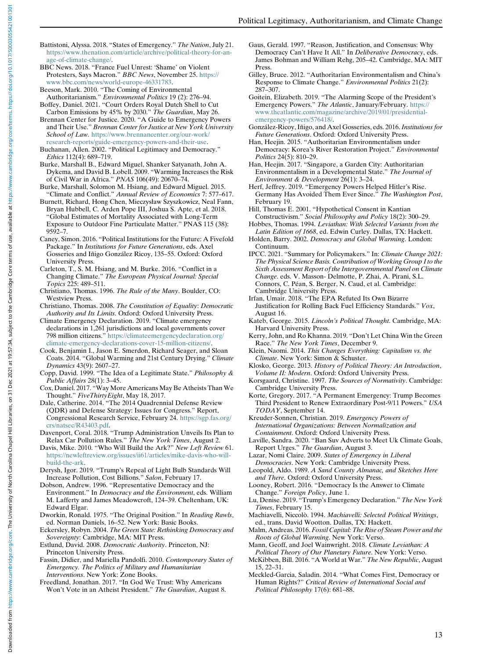- Downloaded from https://www.cambridge.org/core. The University of North Carolie of hearth Chapel Hill Libraries, on 31 Dec 2021 at 1957:34, subject to the Cambridge or eterms of use, available at https://www.cambridge.org/ Downloaded from https://www.cambridge.org/core. The University of North Garolina chapel Hill Libraries, on 31 Dec 2021 at 1957:34, subject to the Cambridge or e terms of use, available at https://www.cambridge.org/core/ter
- <span id="page-12-20"></span>Battistoni, Alyssa. 2018. "States of Emergency." The Nation, July 21. [https://www.thenation.com/article/archive/political-theory-for-an](https://www.bbc.com/news/world-europe-46331783)[age-of-climate-change/.](https://www.bbc.com/news/world-europe-46331783)
- <span id="page-12-7"></span><span id="page-12-1"></span>BBC News. 2018. "France Fuel Unrest: 'Shame' on Violent Protesters, Says Macron." BBC News, November 25. [https://](https://www.bbc.com/news/world-europe-46331783) [www.bbc.com/news/world-europe-46331783](https://www.bbc.com/news/world-europe-46331783).
- <span id="page-12-33"></span><span id="page-12-0"></span>Beeson, Mark. 2010. "The Coming of Environmental Authoritarianism." Environmental Politics 19 (2): 276-94.
- <span id="page-12-41"></span>Boffey, Daniel. 2021. "Court Orders Royal Dutch Shell to Cut Carbon Emissions by 45% by 2030." The Guardian, May 26.
- <span id="page-12-42"></span><span id="page-12-34"></span>Brennan Center for Justice. 2020. "A Guide to Emergency Powers and Their Use." Brennan Center for Justice at New York University School of Law. [https://www.brennancenter.org/our-work/](https://www.brennancenter.org/our-work/research-reports/guide-emergency-powers-and-their-use) [research-reports/guide-emergency-powers-and-their-use](https://www.brennancenter.org/our-work/research-reports/guide-emergency-powers-and-their-use).
- <span id="page-12-17"></span><span id="page-12-2"></span>Buchanan, Allen. 2002. "Political Legitimacy and Democracy." Ethics 112(4): 689–719.
- <span id="page-12-3"></span>Burke, Marshall B., Edward Miguel, Shanker Satyanath, John A. Dykema, and David B. Lobell. 2009. "Warming Increases the Risk of Civil War in Africa." PNAS 106(49): 20670–74.
- <span id="page-12-35"></span>Burke, Marshall, Solomon M. Hsiang, and Edward Miguel. 2015. "Climate and Conflict." Annual Review of Economics 7: 577–617.
- <span id="page-12-22"></span>Burnett, Richard, Hong Chen, Mieczysław Szyszkowicz, Neal Fann, Bryan Hubbell, C. Arden Pope III, Joshua S. Apte, et al. 2018. "Global Estimates of Mortality Associated with Long-Term Exposure to Outdoor Fine Particulate Matter." PNAS 115 (38): 9592–7.
- <span id="page-12-36"></span><span id="page-12-14"></span><span id="page-12-13"></span>Caney, Simon. 2016. "Political Institutions for the Future: A Fivefold Package." In Institutions for Future Generations, eds. Axel Gosseries and Iñigo González Ricoy, 135–55. Oxford: Oxford University Press.
- <span id="page-12-38"></span>Carleton, T., S. M. Hsiang, and M. Burke. 2016. "Conflict in a Changing Climate." The European Physical Journal: Special Topics 225: 489–511.
- <span id="page-12-18"></span><span id="page-12-11"></span>Christiano, Thomas. 1996. The Rule of the Many. Boulder, CO: Westview Press.
- <span id="page-12-19"></span>Christiano, Thomas. 2008. The Constitution of Equality: Democratic Authority and Its Limits. Oxford: Oxford University Press.
- <span id="page-12-28"></span><span id="page-12-5"></span>Climate Emergency Declaration. 2019. "Climate emergency declarations in 1,261 jurisdictions and local governments cover 798 million citizens." [https://climateemergencydeclaration.org/](https://climateemergencydeclaration.org/climate-emergency-declarations-cover-15-million-citizens/) [climate-emergency-declarations-cover-15-million-citizens/.](https://climateemergencydeclaration.org/climate-emergency-declarations-cover-15-million-citizens/)
- <span id="page-12-37"></span>Cook, Benjamin I., Jason E. Smerdon, Richard Seager, and Sloan Coats. 2014. "Global Warming and 21st Century Drying." Climate Dynamics 43(9): 2607–27.
- <span id="page-12-24"></span><span id="page-12-16"></span><span id="page-12-15"></span>Copp, David. 1999. "The Idea of a Legitimate State." Philosophy & Public Affairs 28(1): 3–45.
- <span id="page-12-30"></span><span id="page-12-26"></span>Cox, Daniel. 2017. "Way More Americans May Be Atheists Than We Thought." FiveThirtyEight, May 18, 2017.
- <span id="page-12-39"></span><span id="page-12-32"></span>Dale, Catherine. 2014. "The 2014 Quadrennial Defense Review (QDR) and Defense Strategy: Issues for Congress." Report, Congressional Research Service, February 24. [https://sgp.fas.org/](https://sgp.fas.org/crs/natsec/R43403.pdf) [crs/natsec/R43403.pdf.](https://sgp.fas.org/crs/natsec/R43403.pdf)
- <span id="page-12-10"></span><span id="page-12-8"></span>Davenport, Coral. 2018. "Trump Administration Unveils Its Plan to Relax Car Pollution Rules." The New York Times, August 2.
- <span id="page-12-40"></span><span id="page-12-6"></span>Davis, Mike. 2010. "Who Will Build the Ark?" New Left Review 61. [https://newleftreview.org/issues/ii61/articles/mike-davis-who-will](https://newleftreview.org/issues/ii61/articles/mike-davis-who-will-build-the-ark)[build-the-ark.](https://newleftreview.org/issues/ii61/articles/mike-davis-who-will-build-the-ark)
- <span id="page-12-9"></span>Derysh, Igor. 2019. "Trump's Repeal of Light Bulb Standards Will Increase Pollution, Cost Billions." Salon, February 17.
- <span id="page-12-31"></span><span id="page-12-4"></span>Dobson, Andrew. 1996. "Representative Democracy and the Environment." In Democracy and the Environment, eds. William M. Lafferty and James Meadowcroft, 124–39. Cheltenham, UK: Edward Elgar.
- <span id="page-12-23"></span>Dworkin, Ronald. 1975. "The Original Position." In Reading Rawls, ed. Norman Daniels, 16–52. New York: Basic Books.
- <span id="page-12-12"></span>Eckersley, Robyn. 2004. The Green State: Rethinking Democracy and Sovereignty: Cambridge, MA: MIT Press.
- <span id="page-12-21"></span>Estlund, David. 2008. Democratic Authority. Princeton, NJ: Princeton University Press.
- <span id="page-12-29"></span><span id="page-12-25"></span>Fassin, Didier, and Mariella Pandolfi. 2010. Contemporary States of Emergency. The Politics of Military and Humanitarian Interventions. New York: Zone Books.
- <span id="page-12-27"></span>Freedland, Jonathan. 2017. "In God We Trust: Why Americans Won't Vote in an Atheist President." The Guardian, August 8.
- Gaus, Gerald. 1997. "Reason, Justification, and Consensus: Why Democracy Can't Have It All." In Deliberative Democracy, eds. James Bohman and William Rehg, 205–42. Cambridge, MA: MIT Press.
- Gilley, Bruce. 2012. "Authoritarian Environmentalism and China's Response to Climate Change." Environmental Politics 21(2): 287–307.
- Goitein, Elizabeth. 2019. "The Alarming Scope of the President's Emergency Powers." The Atlantic, January/February. [https://](https://www.theatlantic.com/magazine/archive/2019/01/presidential-emergency-powers/576418/) [www.theatlantic.com/magazine/archive/2019/01/presidential](https://www.theatlantic.com/magazine/archive/2019/01/presidential-emergency-powers/576418/)[emergency-powers/576418/.](https://www.theatlantic.com/magazine/archive/2019/01/presidential-emergency-powers/576418/)
- González-Ricoy, Iñigo, and Axel Gosseries, eds. 2016. Institutions for Future Generations. Oxford: Oxford University Press.
- Han, Heejin. 2015. "Authoritarian Environmentalism under Democracy: Korea's River Restoration Project." Environmental Politics 24(5): 810–29.
- Han, Heejin. 2017. "Singapore, a Garden City: Authoritarian Environmentalism in a Developmental State." The Journal of Environment & Development 26(1): 3–24.
- Herf, Jeffrey. 2019. "Emergency Powers Helped Hitler's Rise. Germany Has Avoided Them Ever Since." The Washington Post, February 19.
- Hill, Thomas E. 2001. "Hypothetical Consent in Kantian Constructivism." Social Philosophy and Policy 18(2): 300–29.
- Hobbes, Thomas. 1994. Leviathan: With Selected Variants from the Latin Edition of 1668, ed. Edwin Curley. Dallas, TX: Hackett.
- Holden, Barry. 2002. Democracy and Global Warming. London: Continuum.
- IPCC. 2021. "Summary for Policymakers." In: Climate Change 2021: The Physical Science Basis. Contribution of Working Group I to the Sixth Assessment Report of the Intergovernmental Panel on Climate Change. eds. V. Masson- Delmotte, P. Zhai, A. Pirani, S.L. Connors, C. Péan, S. Berger, N. Caud, et al. Cambridge: Cambridge University Press.
- Irfan, Umair. 2018. "The EPA Refuted Its Own Bizarre Justification for Rolling Back Fuel Efficiency Standards." Vox, August 16.
- Kateb, George. 2015. Lincoln's Political Thought. Cambridge, MA: Harvard University Press.
- Kerry, John, and Ro Khanna. 2019. "Don't Let China Win the Green Race." The New York Times, December 9.
- Klein, Naomi. 2014. This Changes Everything: Capitalism vs. the Climate. New York: Simon & Schuster.
- Klosko, George. 2013. History of Political Theory: An Introduction, Volume II: Modern. Oxford: Oxford University Press.
- Korsgaard, Christine. 1997. The Sources of Normativity. Cambridge: Cambridge University Press.
- Korte, Gregory. 2017. "A Permanent Emergency: Trump Becomes Third President to Renew Extraordinary Post-9/11 Powers." USA TODAY, September 14.
- Kreuder-Sonnen, Christian. 2019. Emergency Powers of International Organizations: Between Normalization and Containment. Oxford: Oxford University Press.
- Laville, Sandra. 2020. "Ban Suv Adverts to Meet Uk Climate Goals, Report Urges." The Guardian, August 3.
- Lazar, Nomi Claire. 2009. States of Emergency in Liberal Democracies. New York: Cambridge University Press.
- Leopold, Aldo. 1989. A Sand County Almanac, and Sketches Here and There. Oxford: Oxford University Press.
- Looney, Robert. 2016. "Democracy Is the Answer to Climate Change." Foreign Policy, June 1.
- Lu, Denise. 2019. "Trump's Emergency Declaration." The New York Times, February 15.
- Machiavelli, Niccolò. 1994. Machiavelli: Selected Political Writings, ed., trans. David Wootton. Dallas, TX: Hackett.
- Malm, Andreas. 2016. Fossil Capital: The Rise of Steam Power and the Roots of Global Warming. New York: Verso.
- Mann, Geoff, and Joel Wainwright. 2018. Climate Leviathan: A
- Political Theory of Our Planetary Future. New York: Verso. McKibben, Bill. 2016. "A World at War." The New Republic, August 15, 22–31.
- Meckled-Garcia, Saladin. 2014. "What Comes First, Democracy or Human Rights?" Critical Review of International Social and Political Philosophy 17(6): 681–88.